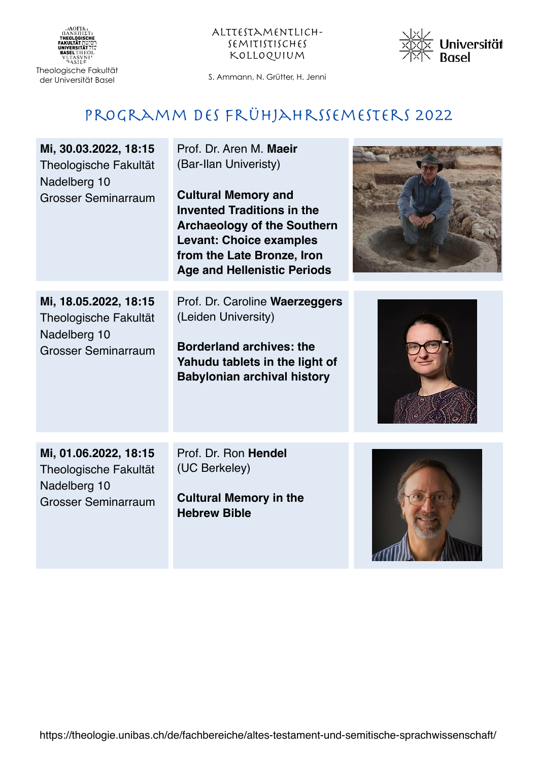



#### Programm des Frühjahrssemesters 2022

| Mi, 30.03.2022, 18:15<br>Theologische Fakultät<br>Nadelberg 10<br><b>Grosser Seminarraum</b> | Prof. Dr. Aren M. Maeir<br>(Bar-Ilan Univeristy)<br><b>Cultural Memory and</b><br><b>Invented Traditions in the</b><br><b>Archaeology of the Southern</b><br><b>Levant: Choice examples</b><br>from the Late Bronze, Iron<br><b>Age and Hellenistic Periods</b> |  |
|----------------------------------------------------------------------------------------------|-----------------------------------------------------------------------------------------------------------------------------------------------------------------------------------------------------------------------------------------------------------------|--|
| Mi, 18.05.2022, 18:15<br>Theologische Fakultät<br>Nadelberg 10<br><b>Grosser Seminarraum</b> | Prof. Dr. Caroline Waerzeggers<br>(Leiden University)<br><b>Borderland archives: the</b><br>Yahudu tablets in the light of<br><b>Babylonian archival history</b>                                                                                                |  |
| Mi, 01.06.2022, 18:15<br>Theologische Fakultät<br>Nadelberg 10<br><b>Grosser Seminarraum</b> | Prof. Dr. Ron Hendel<br>(UC Berkeley)<br><b>Cultural Memory in the</b><br><b>Hebrew Bible</b>                                                                                                                                                                   |  |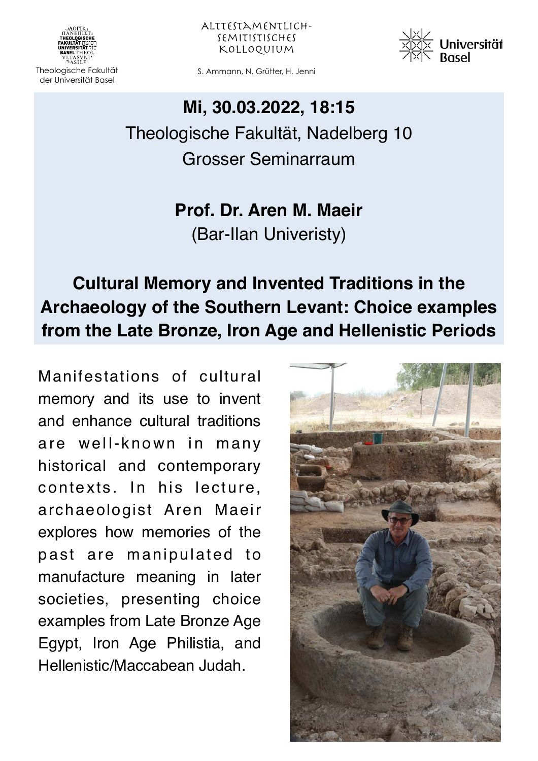

Alttestamentlichsemitistisches Kolloquium



Theologische Fakultät S. Ammann, N. Grütter, H. Jenni

### **Mi, 30.03.2022, 18:15**

Theologische Fakultät, Nadelberg 10 Grosser Seminarraum

> **Prof. Dr. Aren M. Maeir** (Bar-Ilan Univeristy)

# **Cultural Memory and Invented Traditions in the Archaeology of the Southern Levant: Choice examples from the Late Bronze, Iron Age and Hellenistic Periods**

Manifestations of cultural memory and its use to invent and enhance cultural traditions are well-known in many historical and contemporary contexts. In his lecture, archaeologist Aren Maeir explores how memories of the past are manipulated to manufacture meaning in later societies, presenting choice examples from Late Bronze Age Egypt, Iron Age Philistia, and Hellenistic/Maccabean Judah.

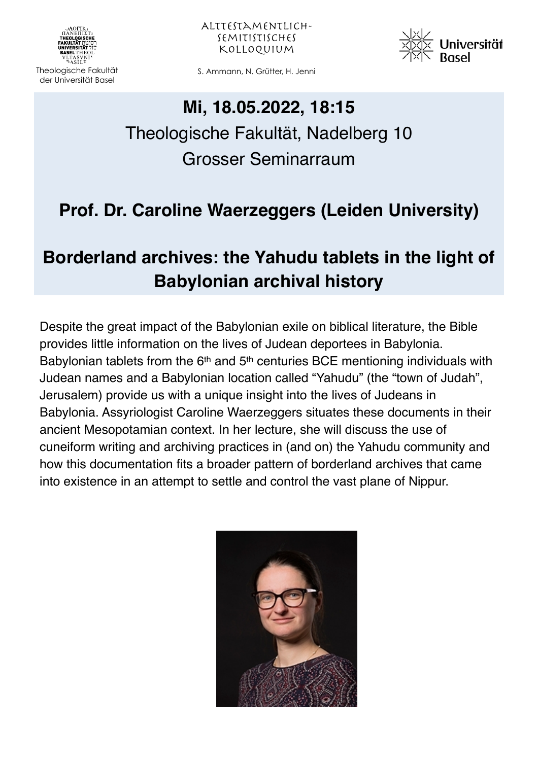

Alttestamentlichsemitistisches Kolloquium



Theologische Fakultät S. Ammann, N. Grütter, H. Jenni

#### **Mi, 18.05.2022, 18:15**

# Theologische Fakultät, Nadelberg 10 Grosser Seminarraum

## **Prof. Dr. Caroline Waerzeggers (Leiden University)**

### **Borderland archives: the Yahudu tablets in the light of Babylonian archival history**

Despite the great impact of the Babylonian exile on biblical literature, the Bible provides little information on the lives of Judean deportees in Babylonia. Babylonian tablets from the 6<sup>th</sup> and 5<sup>th</sup> centuries BCE mentioning individuals with Judean names and a Babylonian location called "Yahudu" (the "town of Judah", Jerusalem) provide us with a unique insight into the lives of Judeans in Babylonia. Assyriologist Caroline Waerzeggers situates these documents in their ancient Mesopotamian context. In her lecture, she will discuss the use of cuneiform writing and archiving practices in (and on) the Yahudu community and how this documentation fits a broader pattern of borderland archives that came into existence in an attempt to settle and control the vast plane of Nippur.